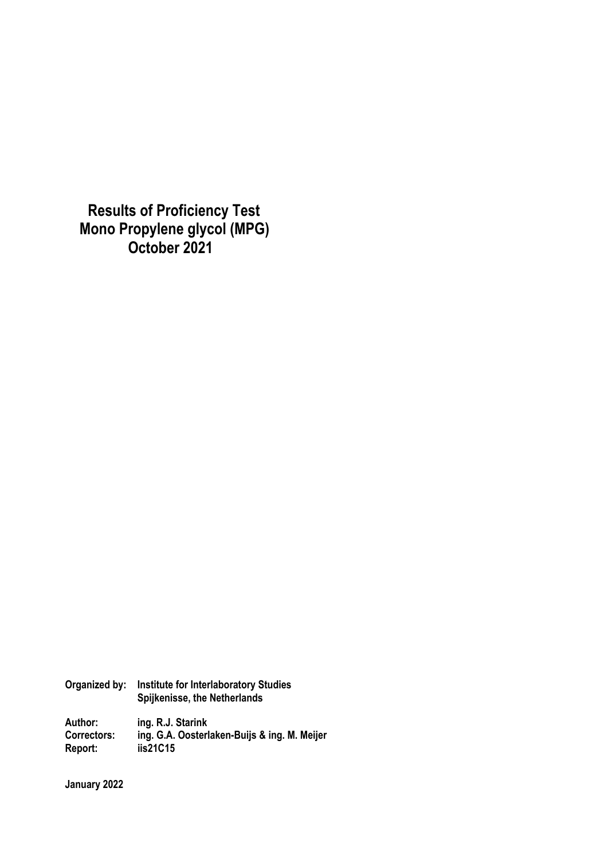**Results of Proficiency Test Mono Propylene glycol (MPG) October 2021** 

**Organized by: Institute for Interlaboratory Studies Spijkenisse, the Netherlands Author: ing. R.J. Starink Correctors: ing. G.A. Oosterlaken-Buijs & ing. M. Meijer Report: iis21C15** 

**January 2022**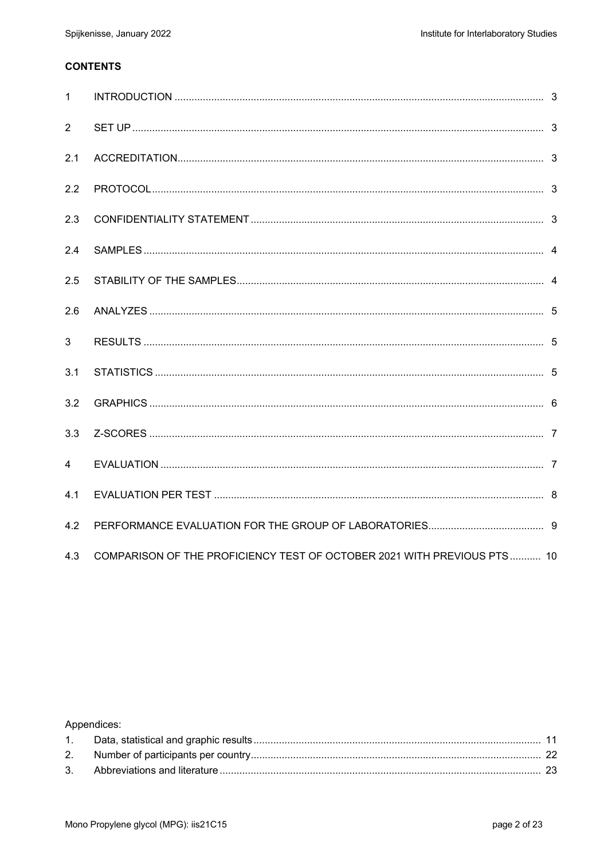# **CONTENTS**

| $\mathbf{1}$   |                                                                         |  |
|----------------|-------------------------------------------------------------------------|--|
| 2              |                                                                         |  |
| 2.1            |                                                                         |  |
| 2.2            |                                                                         |  |
| 2.3            |                                                                         |  |
| 2.4            |                                                                         |  |
| 2.5            |                                                                         |  |
| 2.6            |                                                                         |  |
| 3              |                                                                         |  |
| 3.1            |                                                                         |  |
| 3.2            |                                                                         |  |
| 3.3            |                                                                         |  |
| $\overline{4}$ |                                                                         |  |
| 4.1            |                                                                         |  |
| 4.2            |                                                                         |  |
| 4.3            | COMPARISON OF THE PROFICIENCY TEST OF OCTOBER 2021 WITH PREVIOUS PTS 10 |  |

# Appendices: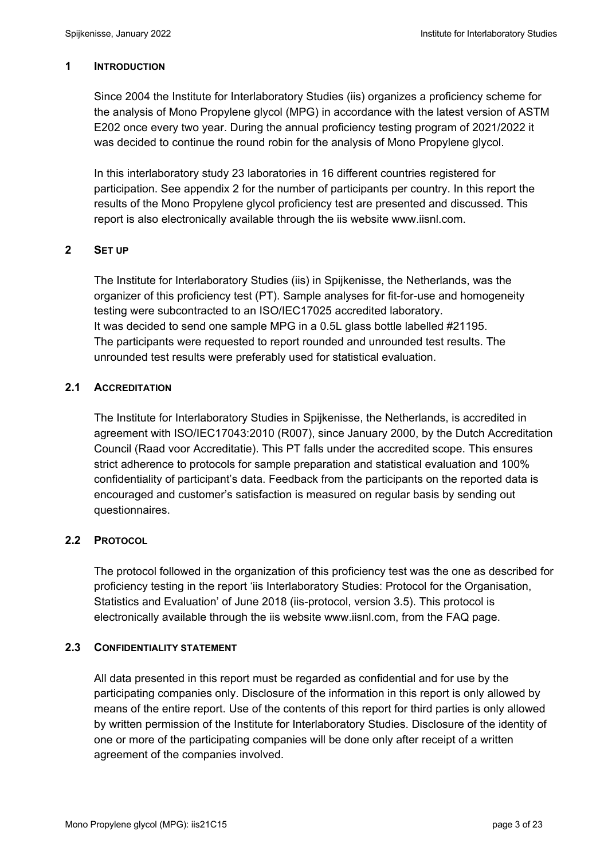### **1 INTRODUCTION**

Since 2004 the Institute for Interlaboratory Studies (iis) organizes a proficiency scheme for the analysis of Mono Propylene glycol (MPG) in accordance with the latest version of ASTM E202 once every two year. During the annual proficiency testing program of 2021/2022 it was decided to continue the round robin for the analysis of Mono Propylene glycol.

In this interlaboratory study 23 laboratories in 16 different countries registered for participation. See appendix 2 for the number of participants per country. In this report the results of the Mono Propylene glycol proficiency test are presented and discussed. This report is also electronically available through the iis website www.iisnl.com.

### **2 SET UP**

The Institute for Interlaboratory Studies (iis) in Spijkenisse, the Netherlands, was the organizer of this proficiency test (PT). Sample analyses for fit-for-use and homogeneity testing were subcontracted to an ISO/IEC17025 accredited laboratory. It was decided to send one sample MPG in a 0.5L glass bottle labelled #21195. The participants were requested to report rounded and unrounded test results. The unrounded test results were preferably used for statistical evaluation.

### **2.1 ACCREDITATION**

The Institute for Interlaboratory Studies in Spijkenisse, the Netherlands, is accredited in agreement with ISO/IEC17043:2010 (R007), since January 2000, by the Dutch Accreditation Council (Raad voor Accreditatie). This PT falls under the accredited scope. This ensures strict adherence to protocols for sample preparation and statistical evaluation and 100% confidentiality of participant's data. Feedback from the participants on the reported data is encouraged and customer's satisfaction is measured on regular basis by sending out questionnaires.

# **2.2 PROTOCOL**

The protocol followed in the organization of this proficiency test was the one as described for proficiency testing in the report 'iis Interlaboratory Studies: Protocol for the Organisation, Statistics and Evaluation' of June 2018 (iis-protocol, version 3.5). This protocol is electronically available through the iis website www.iisnl.com, from the FAQ page.

### **2.3 CONFIDENTIALITY STATEMENT**

All data presented in this report must be regarded as confidential and for use by the participating companies only. Disclosure of the information in this report is only allowed by means of the entire report. Use of the contents of this report for third parties is only allowed by written permission of the Institute for Interlaboratory Studies. Disclosure of the identity of one or more of the participating companies will be done only after receipt of a written agreement of the companies involved.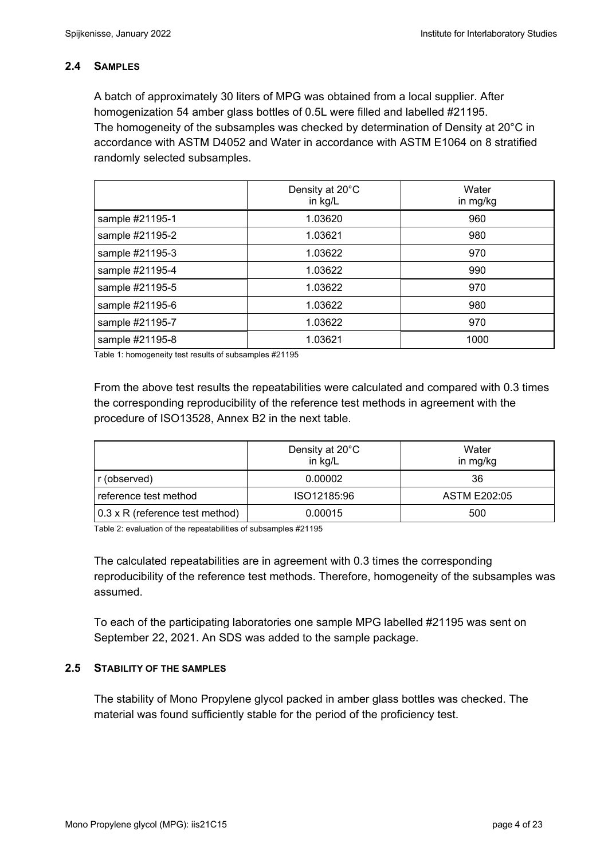### **2.4 SAMPLES**

A batch of approximately 30 liters of MPG was obtained from a local supplier. After homogenization 54 amber glass bottles of 0.5L were filled and labelled #21195. The homogeneity of the subsamples was checked by determination of Density at 20°C in accordance with ASTM D4052 and Water in accordance with ASTM E1064 on 8 stratified randomly selected subsamples.

|                 | Density at 20°C<br>in kg/L | Water<br>in mg/kg |
|-----------------|----------------------------|-------------------|
| sample #21195-1 | 1.03620                    | 960               |
| sample #21195-2 | 1.03621                    | 980               |
| sample #21195-3 | 1.03622                    | 970               |
| sample #21195-4 | 1.03622                    | 990               |
| sample #21195-5 | 1.03622                    | 970               |
| sample #21195-6 | 1.03622                    | 980               |
| sample #21195-7 | 1.03622                    | 970               |
| sample #21195-8 | 1.03621                    | 1000              |

Table 1: homogeneity test results of subsamples #21195

From the above test results the repeatabilities were calculated and compared with 0.3 times the corresponding reproducibility of the reference test methods in agreement with the procedure of ISO13528, Annex B2 in the next table.

|                                 | Density at 20°C<br>in kg/L | Water<br>in mg/kg |
|---------------------------------|----------------------------|-------------------|
| r (observed)                    | 0.00002                    | 36                |
| reference test method           | ISO12185:96                | ASTM E202:05      |
| 0.3 x R (reference test method) | 0.00015                    | 500               |

Table 2: evaluation of the repeatabilities of subsamples #21195

The calculated repeatabilities are in agreement with 0.3 times the corresponding reproducibility of the reference test methods. Therefore, homogeneity of the subsamples was assumed.

To each of the participating laboratories one sample MPG labelled #21195 was sent on September 22, 2021. An SDS was added to the sample package.

### **2.5 STABILITY OF THE SAMPLES**

The stability of Mono Propylene glycol packed in amber glass bottles was checked. The material was found sufficiently stable for the period of the proficiency test.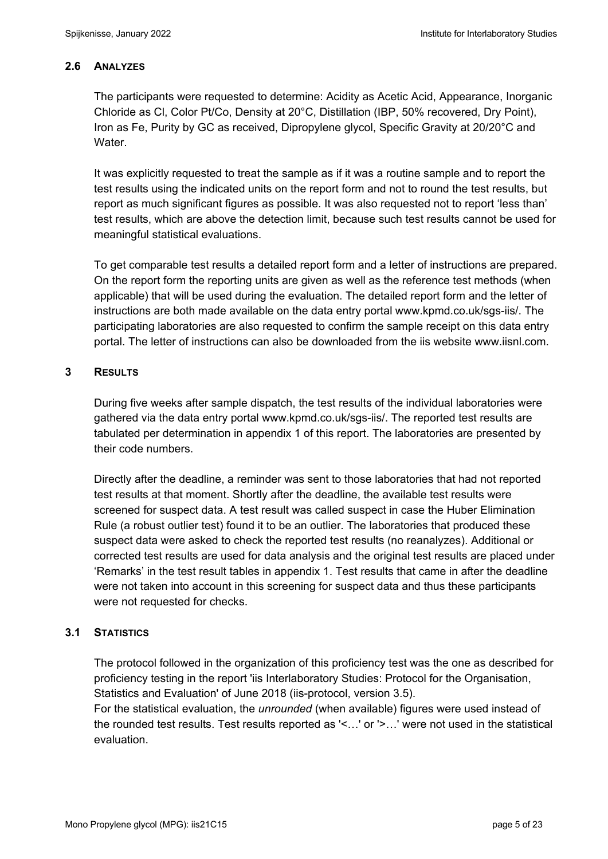### **2.6 ANALYZES**

The participants were requested to determine: Acidity as Acetic Acid, Appearance, Inorganic Chloride as Cl, Color Pt/Co, Density at 20°C, Distillation (IBP, 50% recovered, Dry Point), Iron as Fe, Purity by GC as received, Dipropylene glycol, Specific Gravity at 20/20°C and Water.

It was explicitly requested to treat the sample as if it was a routine sample and to report the test results using the indicated units on the report form and not to round the test results, but report as much significant figures as possible. It was also requested not to report 'less than' test results, which are above the detection limit, because such test results cannot be used for meaningful statistical evaluations.

To get comparable test results a detailed report form and a letter of instructions are prepared. On the report form the reporting units are given as well as the reference test methods (when applicable) that will be used during the evaluation. The detailed report form and the letter of instructions are both made available on the data entry portal www.kpmd.co.uk/sgs-iis/. The participating laboratories are also requested to confirm the sample receipt on this data entry portal. The letter of instructions can also be downloaded from the iis website www.iisnl.com.

### **3 RESULTS**

During five weeks after sample dispatch, the test results of the individual laboratories were gathered via the data entry portal www.kpmd.co.uk/sgs-iis/. The reported test results are tabulated per determination in appendix 1 of this report. The laboratories are presented by their code numbers.

Directly after the deadline, a reminder was sent to those laboratories that had not reported test results at that moment. Shortly after the deadline, the available test results were screened for suspect data. A test result was called suspect in case the Huber Elimination Rule (a robust outlier test) found it to be an outlier. The laboratories that produced these suspect data were asked to check the reported test results (no reanalyzes). Additional or corrected test results are used for data analysis and the original test results are placed under 'Remarks' in the test result tables in appendix 1. Test results that came in after the deadline were not taken into account in this screening for suspect data and thus these participants were not requested for checks.

# **3.1 STATISTICS**

The protocol followed in the organization of this proficiency test was the one as described for proficiency testing in the report 'iis Interlaboratory Studies: Protocol for the Organisation, Statistics and Evaluation' of June 2018 (iis-protocol, version 3.5).

For the statistical evaluation, the *unrounded* (when available) figures were used instead of the rounded test results. Test results reported as '<…' or '>…' were not used in the statistical evaluation.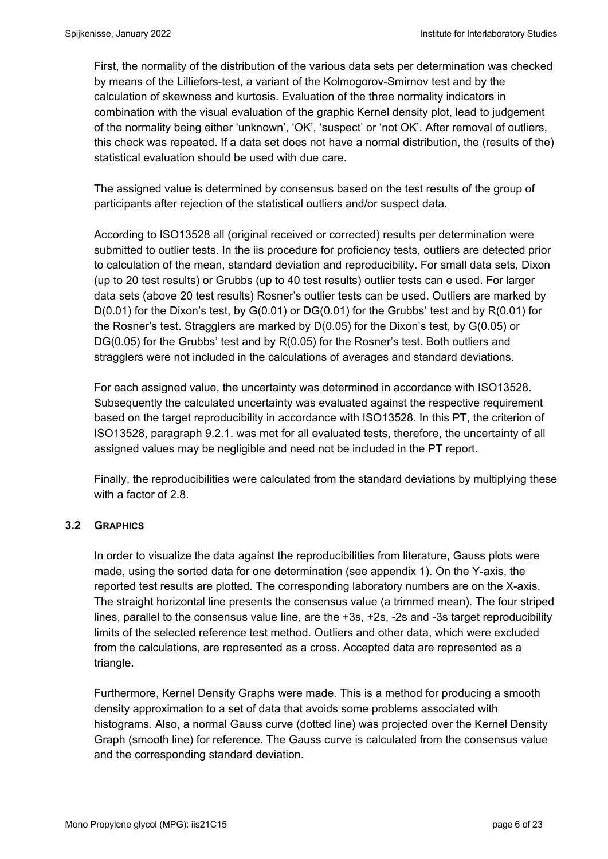First, the normality of the distribution of the various data sets per determination was checked by means of the Lilliefors-test, a variant of the Kolmogorov-Smirnov test and by the calculation of skewness and kurtosis. Evaluation of the three normality indicators in combination with the visual evaluation of the graphic Kernel density plot, lead to judgement of the normality being either 'unknown', 'OK', 'suspect' or 'not OK'. After removal of outliers, this check was repeated. If a data set does not have a normal distribution, the (results of the) statistical evaluation should be used with due care.

The assigned value is determined by consensus based on the test results of the group of participants after rejection of the statistical outliers and/or suspect data.

According to ISO13528 all (original received or corrected) results per determination were submitted to outlier tests. In the iis procedure for proficiency tests, outliers are detected prior to calculation of the mean, standard deviation and reproducibility. For small data sets, Dixon (up to 20 test results) or Grubbs (up to 40 test results) outlier tests can e used. For larger data sets (above 20 test results) Rosner's outlier tests can be used. Outliers are marked by D(0.01) for the Dixon's test, by G(0.01) or DG(0.01) for the Grubbs' test and by R(0.01) for the Rosner's test. Stragglers are marked by D(0.05) for the Dixon's test, by G(0.05) or DG(0.05) for the Grubbs' test and by R(0.05) for the Rosner's test. Both outliers and stragglers were not included in the calculations of averages and standard deviations.

For each assigned value, the uncertainty was determined in accordance with ISO13528. Subsequently the calculated uncertainty was evaluated against the respective requirement based on the target reproducibility in accordance with ISO13528. In this PT, the criterion of ISO13528, paragraph 9.2.1. was met for all evaluated tests, therefore, the uncertainty of all assigned values may be negligible and need not be included in the PT report.

Finally, the reproducibilities were calculated from the standard deviations by multiplying these with a factor of 2.8.

### **3.2 GRAPHICS**

In order to visualize the data against the reproducibilities from literature, Gauss plots were made, using the sorted data for one determination (see appendix 1). On the Y-axis, the reported test results are plotted. The corresponding laboratory numbers are on the X-axis. The straight horizontal line presents the consensus value (a trimmed mean). The four striped lines, parallel to the consensus value line, are the +3s, +2s, -2s and -3s target reproducibility limits of the selected reference test method. Outliers and other data, which were excluded from the calculations, are represented as a cross. Accepted data are represented as a triangle.

Furthermore, Kernel Density Graphs were made. This is a method for producing a smooth density approximation to a set of data that avoids some problems associated with histograms. Also, a normal Gauss curve (dotted line) was projected over the Kernel Density Graph (smooth line) for reference. The Gauss curve is calculated from the consensus value and the corresponding standard deviation.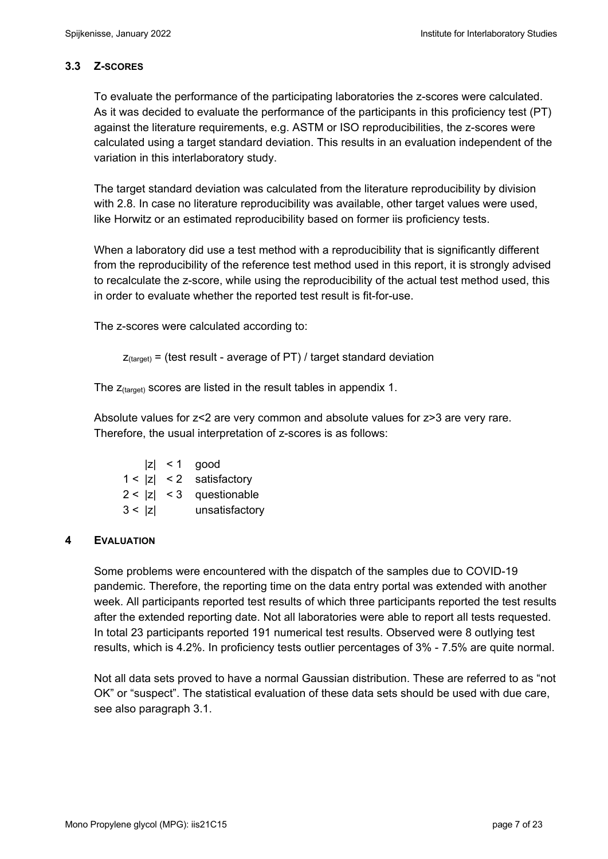# **3.3 Z-SCORES**

To evaluate the performance of the participating laboratories the z-scores were calculated. As it was decided to evaluate the performance of the participants in this proficiency test (PT) against the literature requirements, e.g. ASTM or ISO reproducibilities, the z-scores were calculated using a target standard deviation. This results in an evaluation independent of the variation in this interlaboratory study.

The target standard deviation was calculated from the literature reproducibility by division with 2.8. In case no literature reproducibility was available, other target values were used, like Horwitz or an estimated reproducibility based on former iis proficiency tests.

When a laboratory did use a test method with a reproducibility that is significantly different from the reproducibility of the reference test method used in this report, it is strongly advised to recalculate the z-score, while using the reproducibility of the actual test method used, this in order to evaluate whether the reported test result is fit-for-use.

The z-scores were calculated according to:

```
Z_{\text{target}} = (test result - average of PT) / target standard deviation
```
The  $z_{\text{(target)}}$  scores are listed in the result tables in appendix 1.

Absolute values for z<2 are very common and absolute values for z>3 are very rare. Therefore, the usual interpretation of z-scores is as follows:

|        | $ z  < 1$ good             |
|--------|----------------------------|
|        | $1 <  z  < 2$ satisfactory |
|        | $2 <  z  < 3$ questionable |
| 3 <  z | unsatisfactory             |

# **4 EVALUATION**

Some problems were encountered with the dispatch of the samples due to COVID-19 pandemic. Therefore, the reporting time on the data entry portal was extended with another week. All participants reported test results of which three participants reported the test results after the extended reporting date. Not all laboratories were able to report all tests requested. In total 23 participants reported 191 numerical test results. Observed were 8 outlying test results, which is 4.2%. In proficiency tests outlier percentages of 3% - 7.5% are quite normal.

Not all data sets proved to have a normal Gaussian distribution. These are referred to as "not OK" or "suspect". The statistical evaluation of these data sets should be used with due care, see also paragraph 3.1.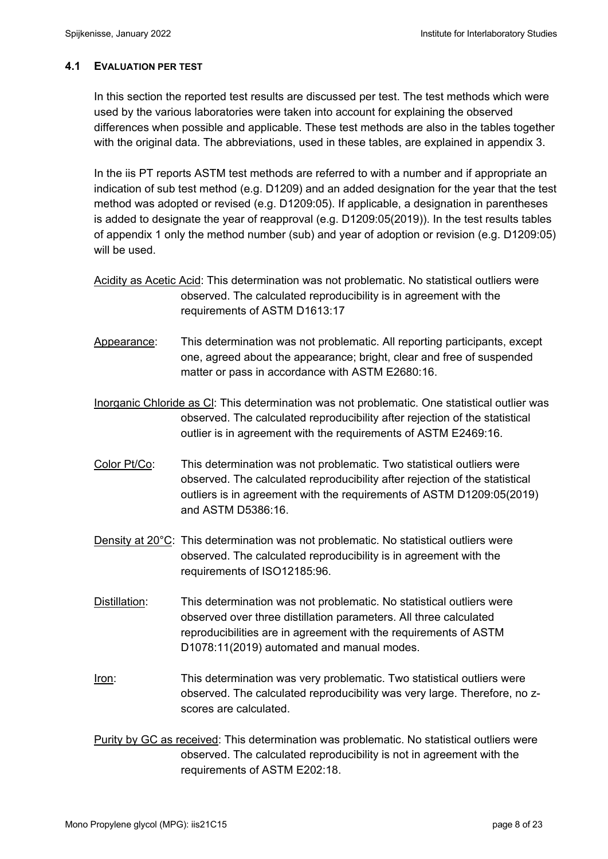### **4.1 EVALUATION PER TEST**

In this section the reported test results are discussed per test. The test methods which were used by the various laboratories were taken into account for explaining the observed differences when possible and applicable. These test methods are also in the tables together with the original data. The abbreviations, used in these tables, are explained in appendix 3.

In the iis PT reports ASTM test methods are referred to with a number and if appropriate an indication of sub test method (e.g. D1209) and an added designation for the year that the test method was adopted or revised (e.g. D1209:05). If applicable, a designation in parentheses is added to designate the year of reapproval (e.g. D1209:05(2019)). In the test results tables of appendix 1 only the method number (sub) and year of adoption or revision (e.g. D1209:05) will be used.

- Acidity as Acetic Acid: This determination was not problematic. No statistical outliers were observed. The calculated reproducibility is in agreement with the requirements of ASTM D1613:17
- Appearance: This determination was not problematic. All reporting participants, except one, agreed about the appearance; bright, clear and free of suspended matter or pass in accordance with ASTM E2680:16.

Inorganic Chloride as Cl: This determination was not problematic. One statistical outlier was observed. The calculated reproducibility after rejection of the statistical outlier is in agreement with the requirements of ASTM E2469:16.

- Color Pt/Co: This determination was not problematic. Two statistical outliers were observed. The calculated reproducibility after rejection of the statistical outliers is in agreement with the requirements of ASTM D1209:05(2019) and ASTM D5386:16.
- Density at 20°C: This determination was not problematic. No statistical outliers were observed. The calculated reproducibility is in agreement with the requirements of ISO12185:96.
- Distillation: This determination was not problematic. No statistical outliers were observed over three distillation parameters. All three calculated reproducibilities are in agreement with the requirements of ASTM D1078:11(2019) automated and manual modes.
- Iron: This determination was very problematic. Two statistical outliers were observed. The calculated reproducibility was very large. Therefore, no zscores are calculated.
- Purity by GC as received: This determination was problematic. No statistical outliers were observed. The calculated reproducibility is not in agreement with the requirements of ASTM E202:18.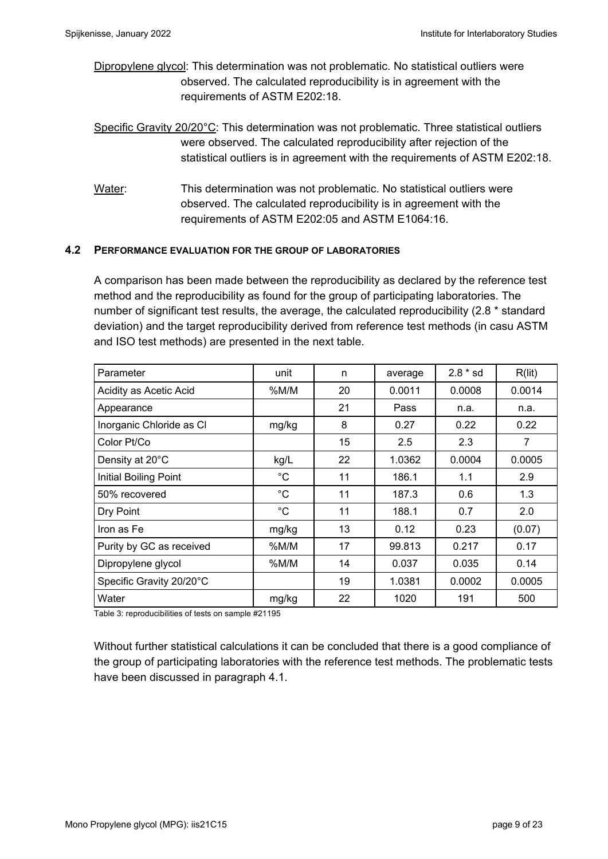- Dipropylene glycol: This determination was not problematic. No statistical outliers were observed. The calculated reproducibility is in agreement with the requirements of ASTM E202:18.
- Specific Gravity 20/20°C: This determination was not problematic. Three statistical outliers were observed. The calculated reproducibility after rejection of the statistical outliers is in agreement with the requirements of ASTM E202:18.
- Water: This determination was not problematic. No statistical outliers were observed. The calculated reproducibility is in agreement with the requirements of ASTM E202:05 and ASTM E1064:16.

### **4.2 PERFORMANCE EVALUATION FOR THE GROUP OF LABORATORIES**

A comparison has been made between the reproducibility as declared by the reference test method and the reproducibility as found for the group of participating laboratories. The number of significant test results, the average, the calculated reproducibility (2.8 \* standard deviation) and the target reproducibility derived from reference test methods (in casu ASTM and ISO test methods) are presented in the next table.

| Parameter                | unit         | n  | average | $2.8 * sd$ | R(lit) |
|--------------------------|--------------|----|---------|------------|--------|
| Acidity as Acetic Acid   | %M/M         | 20 | 0.0011  | 0.0008     | 0.0014 |
| Appearance               |              | 21 | Pass    | n.a.       | n.a.   |
| Inorganic Chloride as CI | mg/kg        | 8  | 0.27    | 0.22       | 0.22   |
| Color Pt/Co              |              | 15 | 2.5     | 2.3        | 7      |
| Density at 20°C          | kg/L         | 22 | 1.0362  | 0.0004     | 0.0005 |
| Initial Boiling Point    | $^{\circ}$ C | 11 | 186.1   | 1.1        | 2.9    |
| 50% recovered            | $^{\circ}C$  | 11 | 187.3   | 0.6        | 1.3    |
| Dry Point                | $^{\circ}C$  | 11 | 188.1   | 0.7        | 2.0    |
| Iron as Fe               | mg/kg        | 13 | 0.12    | 0.23       | (0.07) |
| Purity by GC as received | %M/M         | 17 | 99.813  | 0.217      | 0.17   |
| Dipropylene glycol       | $%$ M/M      | 14 | 0.037   | 0.035      | 0.14   |
| Specific Gravity 20/20°C |              | 19 | 1.0381  | 0.0002     | 0.0005 |
| Water                    | mg/kg        | 22 | 1020    | 191        | 500    |

Table 3: reproducibilities of tests on sample #21195

Without further statistical calculations it can be concluded that there is a good compliance of the group of participating laboratories with the reference test methods. The problematic tests have been discussed in paragraph 4.1.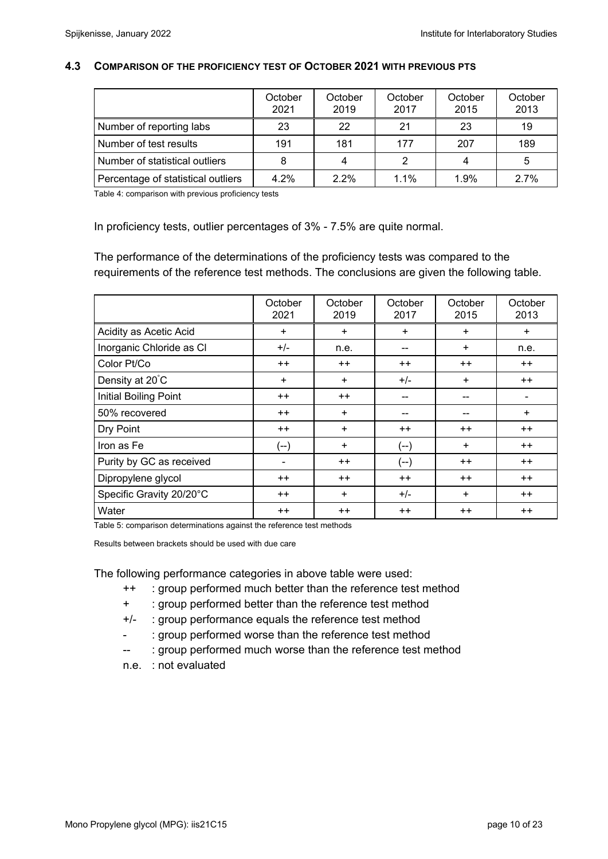#### **4.3 COMPARISON OF THE PROFICIENCY TEST OF OCTOBER 2021 WITH PREVIOUS PTS**

|                                    | October<br>2021 | October<br>2019 | October<br>2017 | October<br>2015 | October<br>2013 |
|------------------------------------|-----------------|-----------------|-----------------|-----------------|-----------------|
| Number of reporting labs           | 23              | 22              | 21              | 23              | 19              |
| Number of test results             | 191             | 181             | 177             | 207             | 189             |
| Number of statistical outliers     | 8               |                 | 2               |                 | 5               |
| Percentage of statistical outliers | 4.2%            | $2.2\%$         | $1.1\%$         | 1.9%            | 2.7%            |

Table 4: comparison with previous proficiency tests

In proficiency tests, outlier percentages of 3% - 7.5% are quite normal.

The performance of the determinations of the proficiency tests was compared to the requirements of the reference test methods. The conclusions are given the following table.

|                          | October<br>2021 | October<br>2019 | October<br>2017 | October<br>2015 | October<br>2013 |
|--------------------------|-----------------|-----------------|-----------------|-----------------|-----------------|
| Acidity as Acetic Acid   | $\ddot{}$       | $\ddot{}$       | $\ddot{}$       | $\ddot{}$       | $+$             |
| Inorganic Chloride as Cl | $+/-$           | n.e.            | --              | $+$             | n.e.            |
| Color Pt/Co              | $++$            | $^{++}$         | $++$            | $^{++}$         | $++$            |
| Density at 20°C          | $\ddot{}$       | $\ddot{}$       | $+/-$           | $\ddot{}$       | $^{\mathrm{+}}$ |
| Initial Boiling Point    | $++$            | $++$            | --              | --              |                 |
| 50% recovered            | $++$            | $\ddot{}$       | --              | --              | $+$             |
| Dry Point                | $++$            | $\ddot{}$       | $++$            | $++$            | $++$            |
| Iron as Fe               | (--)            | $+$             | (--)            | $\ddot{}$       | $++$            |
| Purity by GC as received |                 | $++$            | (--)            | $++$            | $++$            |
| Dipropylene glycol       | $^{\mathrm{+}}$ | $^{\mathrm{+}}$ | $++$            | $^{++}$         | $++$            |
| Specific Gravity 20/20°C | $++$            | $\ddot{}$       | $+/-$           | $+$             | $++$            |
| Water                    | $++$            | $++$            | $++$            | $^{\mathrm{+}}$ | $^{\mathrm{+}}$ |

Table 5: comparison determinations against the reference test methods

Results between brackets should be used with due care

The following performance categories in above table were used:

- ++ : group performed much better than the reference test method
- + : group performed better than the reference test method
- +/- : group performance equals the reference test method
- : group performed worse than the reference test method
- -- : group performed much worse than the reference test method
- n.e. : not evaluated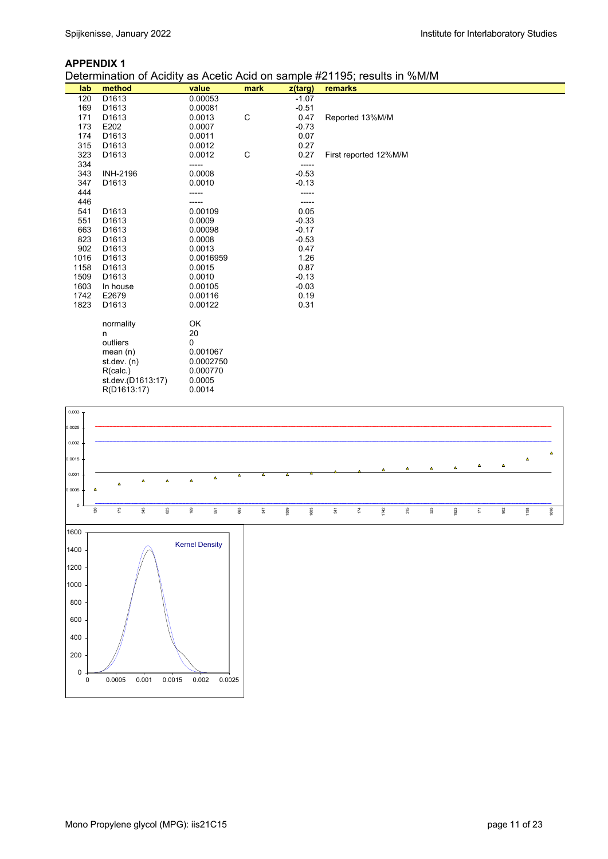#### **APPENDIX 1**

Determination of Acidity as Acetic Acid on sample #21195; results in %M/M

| lab  | method            | value     | mark | z(targ) | remarks               |
|------|-------------------|-----------|------|---------|-----------------------|
| 120  | D <sub>1613</sub> | 0.00053   |      | $-1.07$ |                       |
| 169  | D1613             | 0.00081   |      | $-0.51$ |                       |
| 171  | D1613             | 0.0013    | C    | 0.47    | Reported 13%M/M       |
| 173  | E202              | 0.0007    |      | $-0.73$ |                       |
| 174  | D <sub>1613</sub> | 0.0011    |      | 0.07    |                       |
| 315  | D1613             | 0.0012    |      | 0.27    |                       |
| 323  | D1613             | 0.0012    | C    | 0.27    | First reported 12%M/M |
| 334  |                   | -----     |      | -----   |                       |
| 343  | <b>INH-2196</b>   | 0.0008    |      | $-0.53$ |                       |
| 347  | D1613             | 0.0010    |      | $-0.13$ |                       |
| 444  |                   | -----     |      |         |                       |
| 446  |                   |           |      |         |                       |
| 541  | D <sub>1613</sub> | 0.00109   |      | 0.05    |                       |
| 551  | D1613             | 0.0009    |      | $-0.33$ |                       |
| 663  | D1613             | 0.00098   |      | $-0.17$ |                       |
| 823  | D1613             | 0.0008    |      | $-0.53$ |                       |
| 902  | D1613             | 0.0013    |      | 0.47    |                       |
| 1016 | D1613             | 0.0016959 |      | 1.26    |                       |
| 1158 | D1613             | 0.0015    |      | 0.87    |                       |
| 1509 | D1613             | 0.0010    |      | $-0.13$ |                       |
| 1603 | In house          | 0.00105   |      | $-0.03$ |                       |
| 1742 | E2679             | 0.00116   |      | 0.19    |                       |
| 1823 | D1613             | 0.00122   |      | 0.31    |                       |
|      | normality         | OK        |      |         |                       |
|      | n                 | 20        |      |         |                       |
|      | outliers          | 0         |      |         |                       |
|      | mean $(n)$        | 0.001067  |      |         |                       |
|      | st. dev. (n)      | 0.0002750 |      |         |                       |
|      | R(calc.)          | 0.000770  |      |         |                       |
|      | st.dev.(D1613:17) | 0.0005    |      |         |                       |
|      | R(D1613:17)       | 0.0014    |      |         |                       |

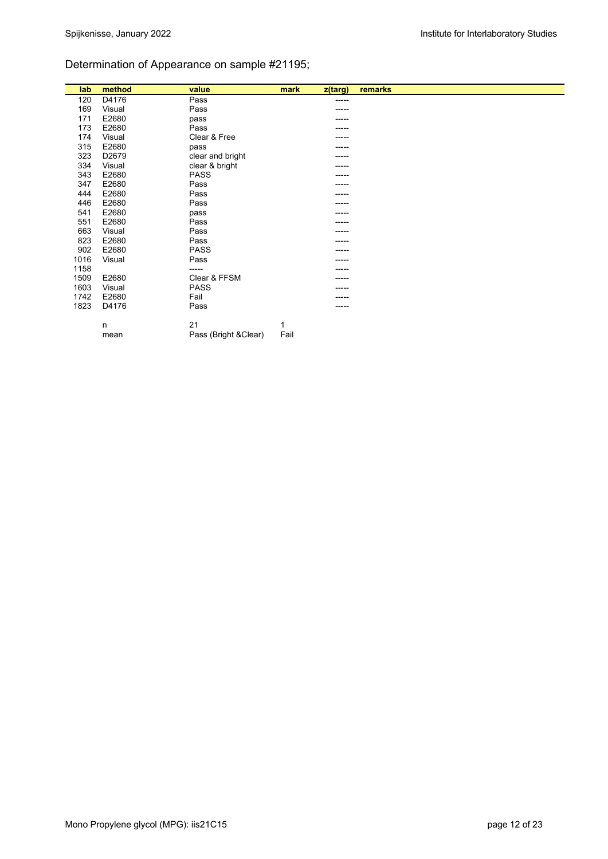# Determination of Appearance on sample #21195;

| lab  | method | value                 | mark | z(targ) | remarks |
|------|--------|-----------------------|------|---------|---------|
| 120  | D4176  | Pass                  |      | -----   |         |
| 169  | Visual | Pass                  |      | -----   |         |
| 171  | E2680  | pass                  |      | -----   |         |
| 173  | E2680  | Pass                  |      |         |         |
| 174  | Visual | Clear & Free          |      |         |         |
| 315  | E2680  | pass                  |      |         |         |
| 323  | D2679  | clear and bright      |      |         |         |
| 334  | Visual | clear & bright        |      | -----   |         |
| 343  | E2680  | <b>PASS</b>           |      | -----   |         |
| 347  | E2680  | Pass                  |      |         |         |
| 444  | E2680  | Pass                  |      |         |         |
| 446  | E2680  | Pass                  |      | -----   |         |
| 541  | E2680  | pass                  |      |         |         |
| 551  | E2680  | Pass                  |      |         |         |
| 663  | Visual | Pass                  |      |         |         |
| 823  | E2680  | Pass                  |      |         |         |
| 902  | E2680  | <b>PASS</b>           |      | -----   |         |
| 1016 | Visual | Pass                  |      | -----   |         |
| 1158 |        | -----                 |      |         |         |
| 1509 | E2680  | Clear & FFSM          |      |         |         |
| 1603 | Visual | <b>PASS</b>           |      | ----    |         |
| 1742 | E2680  | Fail                  |      |         |         |
| 1823 | D4176  | Pass                  |      | -----   |         |
|      | n      | 21                    | 1    |         |         |
|      | mean   | Pass (Bright & Clear) | Fail |         |         |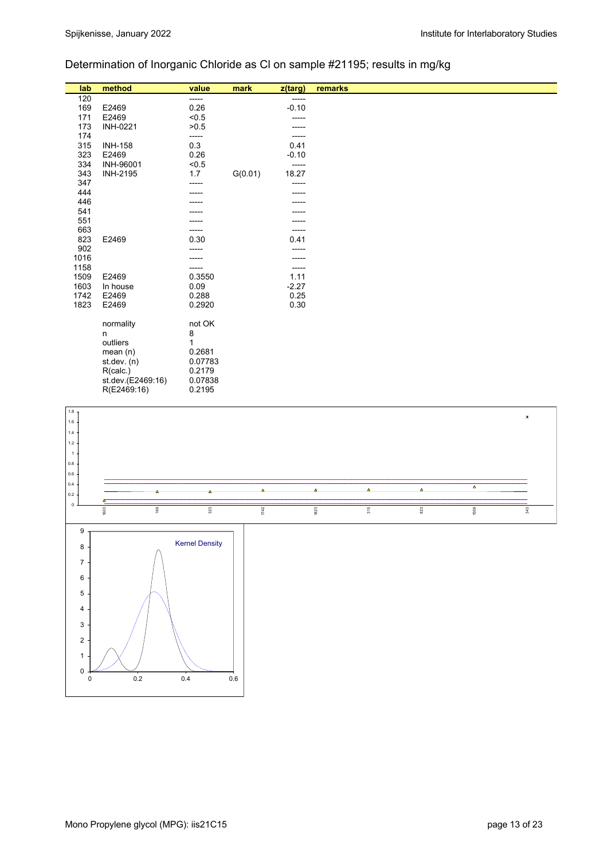# Determination of Inorganic Chloride as Cl on sample #21195; results in mg/kg

| lab  | method            | value        | mark    | z(targ) | remarks |
|------|-------------------|--------------|---------|---------|---------|
| 120  |                   | -----        |         | -----   |         |
| 169  | E2469             | 0.26         |         | $-0.10$ |         |
| 171  | E2469             | < 0.5        |         | -----   |         |
| 173  | <b>INH-0221</b>   | >0.5         |         |         |         |
| 174  |                   | -----        |         | -----   |         |
| 315  | <b>INH-158</b>    | 0.3          |         | 0.41    |         |
| 323  | E2469             | 0.26         |         | $-0.10$ |         |
| 334  | INH-96001         | < 0.5        |         | -----   |         |
| 343  | <b>INH-2195</b>   | 1.7          | G(0.01) | 18.27   |         |
| 347  |                   | -----        |         | -----   |         |
| 444  |                   |              |         |         |         |
| 446  |                   |              |         |         |         |
| 541  |                   |              |         |         |         |
| 551  |                   |              |         |         |         |
| 663  |                   |              |         | -----   |         |
| 823  | E2469             | 0.30         |         | 0.41    |         |
| 902  |                   | -----        |         | -----   |         |
| 1016 |                   |              |         |         |         |
| 1158 |                   | -----        |         | -----   |         |
| 1509 | E2469             | 0.3550       |         | 1.11    |         |
| 1603 | In house          | 0.09         |         | $-2.27$ |         |
| 1742 | E2469             | 0.288        |         | 0.25    |         |
| 1823 | E2469             | 0.2920       |         | 0.30    |         |
|      |                   |              |         |         |         |
|      | normality         | not OK       |         |         |         |
|      | n                 | 8            |         |         |         |
|      | outliers          | $\mathbf{1}$ |         |         |         |
|      | mean(n)           | 0.2681       |         |         |         |
|      | st. dev. (n)      | 0.07783      |         |         |         |
|      | R(calc.)          | 0.2179       |         |         |         |
|      | st.dev.(E2469:16) | 0.07838      |         |         |         |
|      | R(E2469:16)       | 0.2195       |         |         |         |
|      |                   |              |         |         |         |

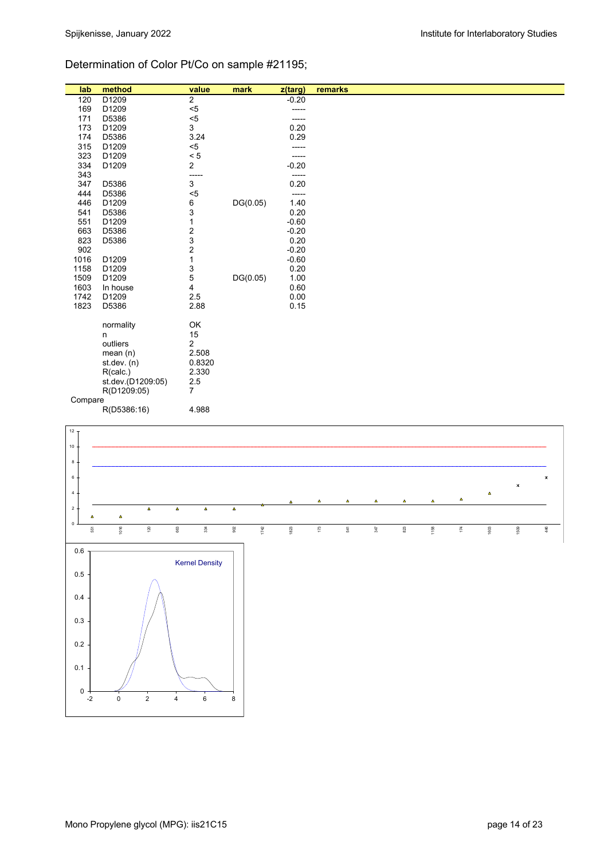# Determination of Color Pt/Co on sample #21195;

|         |                   |                         |          |         | remarks |
|---------|-------------------|-------------------------|----------|---------|---------|
| lab     | method            | value                   | mark     | z(targ) |         |
| 120     | D1209             | $\overline{2}$          |          | $-0.20$ |         |
| 169     | D1209             | $< 5$                   |          | -----   |         |
| 171     | D5386             | $5$                     |          |         |         |
| 173     | D1209             | 3                       |          | 0.20    |         |
| 174     | D5386             | 3.24                    |          | 0.29    |         |
| 315     | D1209             | $<$ 5                   |          | -----   |         |
| 323     | D1209             | < 5                     |          | ------  |         |
| 334     | D1209             | 2                       |          | $-0.20$ |         |
| 343     |                   | -----                   |          | -----   |         |
| 347     | D5386             | 3                       |          | 0.20    |         |
| 444     | D5386             | $5$                     |          | -----   |         |
| 446     | D1209             | 6                       | DG(0.05) | 1.40    |         |
| 541     | D5386             | 3                       |          | 0.20    |         |
| 551     | D1209             | 1                       |          | $-0.60$ |         |
| 663     | D5386             | $\overline{\mathbf{c}}$ |          | $-0.20$ |         |
| 823     | D5386             | 3                       |          | 0.20    |         |
| 902     |                   | $\overline{\mathbf{c}}$ |          | $-0.20$ |         |
| 1016    | D1209             | $\mathbf{1}$            |          | $-0.60$ |         |
| 1158    | D1209             | 3                       |          | 0.20    |         |
| 1509    | D1209             | 5                       | DG(0.05) | 1.00    |         |
| 1603    | In house          | 4                       |          | 0.60    |         |
| 1742    | D1209             | 2.5                     |          | 0.00    |         |
| 1823    | D5386             | 2.88                    |          | 0.15    |         |
|         |                   |                         |          |         |         |
|         | normality         | OK                      |          |         |         |
|         | n                 | 15                      |          |         |         |
|         | outliers          | $\overline{2}$          |          |         |         |
|         | mean $(n)$        | 2.508                   |          |         |         |
|         | st. dev. (n)      | 0.8320                  |          |         |         |
|         | R(calc.)          | 2.330                   |          |         |         |
|         | st.dev.(D1209:05) | $2.5\,$                 |          |         |         |
|         | R(D1209:05)       | $\overline{7}$          |          |         |         |
| Compare |                   |                         |          |         |         |
|         | R(D5386:16)       | 4.988                   |          |         |         |
|         |                   |                         |          |         |         |

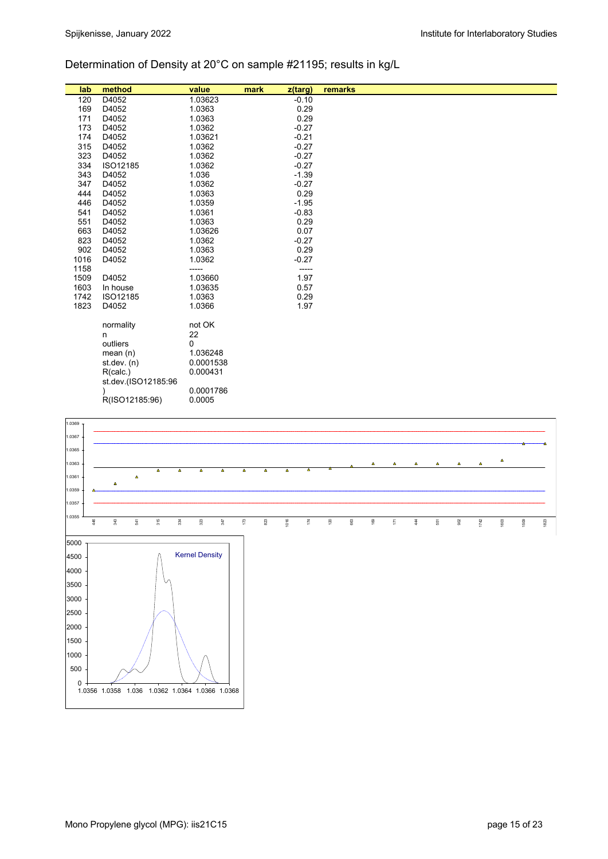# Determination of Density at 20°C on sample #21195; results in kg/L

| lab  | method              | value       | mark | z(targ) | remarks |
|------|---------------------|-------------|------|---------|---------|
| 120  | D4052               | 1.03623     |      | $-0.10$ |         |
| 169  | D4052               | 1.0363      |      | 0.29    |         |
| 171  | D4052               | 1.0363      |      | 0.29    |         |
| 173  | D4052               | 1.0362      |      | $-0.27$ |         |
| 174  | D4052               | 1.03621     |      | $-0.21$ |         |
| 315  | D4052               | 1.0362      |      | $-0.27$ |         |
| 323  | D4052               | 1.0362      |      | $-0.27$ |         |
| 334  | ISO12185            | 1.0362      |      | $-0.27$ |         |
| 343  | D4052               | 1.036       |      | $-1.39$ |         |
| 347  | D4052               | 1.0362      |      | $-0.27$ |         |
| 444  | D4052               | 1.0363      |      | 0.29    |         |
| 446  | D4052               | 1.0359      |      | $-1.95$ |         |
| 541  | D4052               | 1.0361      |      | $-0.83$ |         |
| 551  | D4052               | 1.0363      |      | 0.29    |         |
| 663  | D4052               | 1.03626     |      | 0.07    |         |
| 823  | D4052               | 1.0362      |      | $-0.27$ |         |
| 902  | D4052               | 1.0363      |      | 0.29    |         |
| 1016 | D4052               | 1.0362      |      | $-0.27$ |         |
| 1158 |                     | -----       |      | -----   |         |
| 1509 | D4052               | 1.03660     |      | 1.97    |         |
| 1603 | In house            | 1.03635     |      | 0.57    |         |
| 1742 | ISO12185            | 1.0363      |      | 0.29    |         |
| 1823 | D4052               | 1.0366      |      | 1.97    |         |
|      |                     |             |      |         |         |
|      | normality           | not OK      |      |         |         |
|      | n                   | 22          |      |         |         |
|      | outliers            | $\mathbf 0$ |      |         |         |
|      | mean(n)             | 1.036248    |      |         |         |
|      | st. dev. (n)        | 0.0001538   |      |         |         |
|      | R(calc.)            | 0.000431    |      |         |         |
|      | st.dev.(ISO12185:96 |             |      |         |         |
|      |                     | 0.0001786   |      |         |         |
|      | R(ISO12185:96)      | 0.0005      |      |         |         |
|      |                     |             |      |         |         |

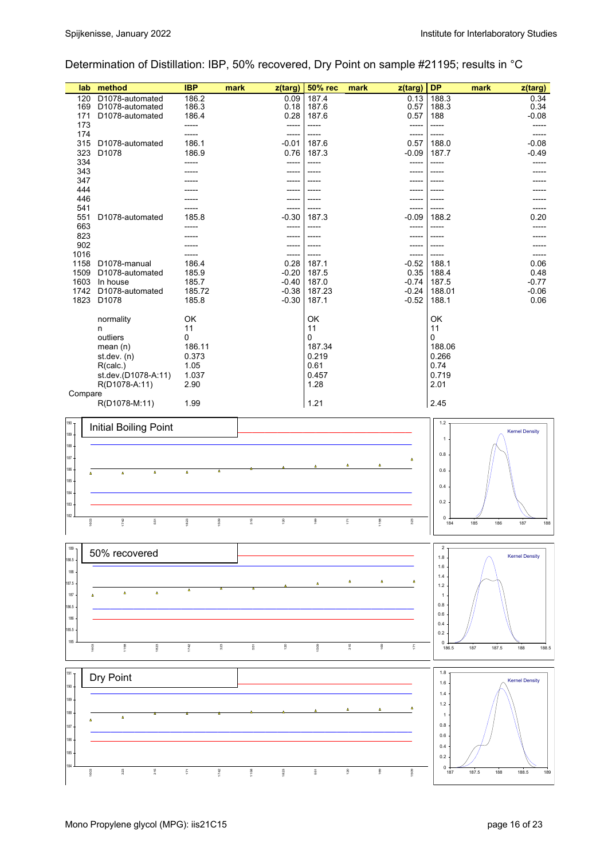# Determination of Distillation: IBP, 50% recovered, Dry Point on sample #21195; results in °C

| lab         | method            |                                    |                | <b>IBP</b>      |          | mark                      | z(targ)            | <b>50% rec</b>  | mark                    |          | $z$ (targ)              | <b>DP</b>               | mark<br>$z$ (targ)           |
|-------------|-------------------|------------------------------------|----------------|-----------------|----------|---------------------------|--------------------|-----------------|-------------------------|----------|-------------------------|-------------------------|------------------------------|
| 120         |                   | D1078-automated<br>D1078-automated |                | 186.2<br>186.3  |          |                           | 0.09<br>0.18       | 187.4<br>187.6  |                         |          | 0.13                    | 188.3<br>188.3          | 0.34<br>0.34                 |
| 169<br>171  |                   | D1078-automated                    |                | 186.4           |          |                           | 0.28               | 187.6           |                         |          | 0.57<br>0.57            | 188                     | $-0.08$                      |
| 173         |                   |                                    |                | -----           |          |                           | -----              | -----           |                         |          | -----                   | -----                   | -----                        |
| 174<br>315  |                   | D1078-automated                    |                | -----<br>186.1  |          |                           | -----<br>$-0.01$   | -----<br>187.6  |                         |          | -----<br>0.57           | -----<br>188.0          | -----<br>$-0.08$             |
| 323         | D <sub>1078</sub> |                                    |                | 186.9           |          |                           | 0.76               | 187.3           |                         |          | $-0.09$                 | 187.7                   | $-0.49$                      |
| 334         |                   |                                    |                | -----           |          |                           | -----              | -----           |                         |          | -----                   | -----                   |                              |
| 343<br>347  |                   |                                    |                |                 |          |                           | -----<br>-----     | -----           |                         |          |                         | -----                   |                              |
| 444         |                   |                                    |                |                 |          |                           | -----              |                 |                         |          |                         |                         |                              |
| 446         |                   |                                    |                |                 |          |                           | -----              | -----           |                         |          |                         |                         |                              |
| 541<br>551  |                   | D1078-automated                    |                | 185.8           |          |                           | $-0.30$            | -----<br>187.3  |                         |          | $-0.09$                 | -----<br>188.2          | 0.20                         |
| 663         |                   |                                    |                |                 |          |                           | -----              | -----           |                         |          | -----                   | -----                   |                              |
| 823         |                   |                                    |                |                 |          |                           | -----              | -----           |                         |          | -----                   | -----                   |                              |
| 902<br>1016 |                   |                                    |                |                 |          |                           | -----<br>------    | -----<br>-----  |                         |          | -----<br>$-----1$       | -----                   |                              |
| 1158        |                   | D1078-manual                       |                | 186.4           |          |                           | 0.28               | 187.1           |                         |          | $-0.52$                 | 188.1                   | 0.06                         |
| 1509        |                   | D1078-automated                    |                | 185.9           |          |                           | $-0.20$            | 187.5           |                         |          | 0.35                    | 188.4                   | 0.48                         |
| 1603        | In house          | 1742 D1078-automated               |                | 185.7<br>185.72 |          |                           | $-0.40$<br>$-0.38$ | 187.0<br>187.23 |                         |          | $-0.74$<br>$-0.24$      | 187.5<br>188.01         | $-0.77$<br>$-0.06$           |
| 1823        | D1078             |                                    |                | 185.8           |          |                           | $-0.30$            | 187.1           |                         |          | $-0.52$                 | 188.1                   | 0.06                         |
|             |                   |                                    |                |                 |          |                           |                    |                 |                         |          |                         |                         |                              |
|             | n                 | normality                          |                | OK<br>11        |          |                           |                    | OK<br>11        |                         |          |                         | OK<br>11                |                              |
|             | outliers          |                                    |                | 0               |          |                           |                    | 0               |                         |          |                         | 0                       |                              |
|             |                   | mean(n)                            |                | 186.11          |          |                           |                    | 187.34          |                         |          |                         | 188.06                  |                              |
|             | R(calc.)          | st.dev. (n)                        |                | 0.373<br>1.05   |          |                           |                    | 0.219<br>0.61   |                         |          |                         | 0.266<br>0.74           |                              |
|             |                   | st.dev.(D1078-A:11)                |                | 1.037           |          |                           |                    | 0.457           |                         |          |                         | 0.719                   |                              |
|             |                   | R(D1078-A:11)                      |                | 2.90            |          |                           |                    | 1.28            |                         |          |                         | 2.01                    |                              |
| Compare     |                   | R(D1078-M:11)                      |                | 1.99            |          |                           |                    | 1.21            |                         |          |                         | 2.45                    |                              |
|             |                   |                                    |                |                 |          |                           |                    |                 |                         |          |                         |                         |                              |
| $190 -$     |                   | Initial Boiling Point              |                |                 |          |                           |                    |                 |                         |          |                         | $1.2$                   | <b>Kernel Density</b>        |
| 189         |                   |                                    |                |                 |          |                           |                    |                 |                         |          |                         | $\mathbf 1$             |                              |
| 188<br>187. |                   |                                    |                |                 |          |                           |                    |                 |                         |          |                         | 0.8                     |                              |
| 186         |                   |                                    |                |                 |          |                           |                    |                 |                         | $\Delta$ | A                       |                         |                              |
| $185 -$     |                   | $\pmb{\Delta}$                     | $\pmb{\Delta}$ | $\pmb{\Delta}$  | Δ        |                           |                    |                 |                         |          |                         | 0.6                     |                              |
| 184         |                   |                                    |                |                 |          |                           |                    |                 |                         |          |                         | 0.4                     |                              |
| 183         |                   |                                    |                |                 |          |                           |                    |                 |                         |          |                         | 0.2                     |                              |
| 182         |                   |                                    |                |                 |          |                           | 120                | $\frac{6}{6}$   | $\overline{\mathbb{F}}$ |          | $_{32\,3}$              | $\mathbf 0$             |                              |
|             | 1603              | 1742                               | 551            | 1823            | 1509     | $315$                     |                    |                 |                         | 1158     |                         | 184                     | 185<br>187<br>186<br>188     |
| 189         |                   |                                    |                |                 |          |                           |                    |                 |                         |          |                         | $\overline{\mathbf{c}}$ |                              |
| 188.5       |                   | 50% recovered                      |                |                 |          |                           |                    |                 |                         |          |                         | 1.8                     | <b>Kernel Density</b>        |
| 188         |                   |                                    |                |                 |          |                           |                    |                 |                         |          |                         | 1.6                     |                              |
| 187.5       |                   |                                    |                |                 |          |                           |                    |                 | ٨                       | $\Delta$ |                         | 1.4<br>1.2              |                              |
| 187         |                   | $\Delta$                           | $\Delta$       | $\Delta$        |          |                           |                    |                 |                         |          |                         | -1                      |                              |
| 186.5       |                   |                                    |                |                 |          |                           |                    |                 |                         |          |                         | 0.8                     |                              |
| 186         |                   |                                    |                |                 |          |                           |                    |                 |                         |          |                         | 0.6<br>0.4              |                              |
| 185.5       |                   |                                    |                |                 |          |                           |                    |                 |                         |          |                         | 0.2                     |                              |
| 185         | 1603              | 1158                               | 1823           | 1742            | $_{323}$ | $\overline{\mathfrak{s}}$ | $\frac{8}{12}$     | 1509            | 315                     | 169      | $\overline{\mathbf{r}}$ | 0<br>186.5              | 187.5<br>187<br>188<br>188.5 |
|             |                   |                                    |                |                 |          |                           |                    |                 |                         |          |                         |                         |                              |
| 191         |                   |                                    |                |                 |          |                           |                    |                 |                         |          |                         | 1.8                     |                              |
| 190         | Dry Point         |                                    |                |                 |          |                           |                    |                 |                         |          |                         | 1.6                     | <b>Kernel Density</b>        |
| 189         |                   |                                    |                |                 |          |                           |                    |                 |                         |          |                         | 1.4                     |                              |
| 188         |                   |                                    |                |                 |          |                           |                    |                 |                         | $\Delta$ |                         | 1.2<br>1                |                              |
| 187         |                   | $\pmb{\Delta}$                     |                |                 |          |                           |                    |                 |                         |          |                         | 0.8                     |                              |
| 186         |                   |                                    |                |                 |          |                           |                    |                 |                         |          |                         | 0.6                     |                              |
| 185         |                   |                                    |                |                 |          |                           |                    |                 |                         |          |                         | 0.4                     |                              |
|             |                   |                                    |                |                 |          |                           |                    |                 |                         |          |                         | 0.2                     |                              |
| 184         | 1603              | 323                                | 315            | $\overline{r}$  | 1742     | 1158                      | 1823               | 551             | $120$                   | $^{169}$ | 1509                    | 0<br>187                | 187.5<br>188.5<br>189<br>188 |
|             |                   |                                    |                |                 |          |                           |                    |                 |                         |          |                         |                         |                              |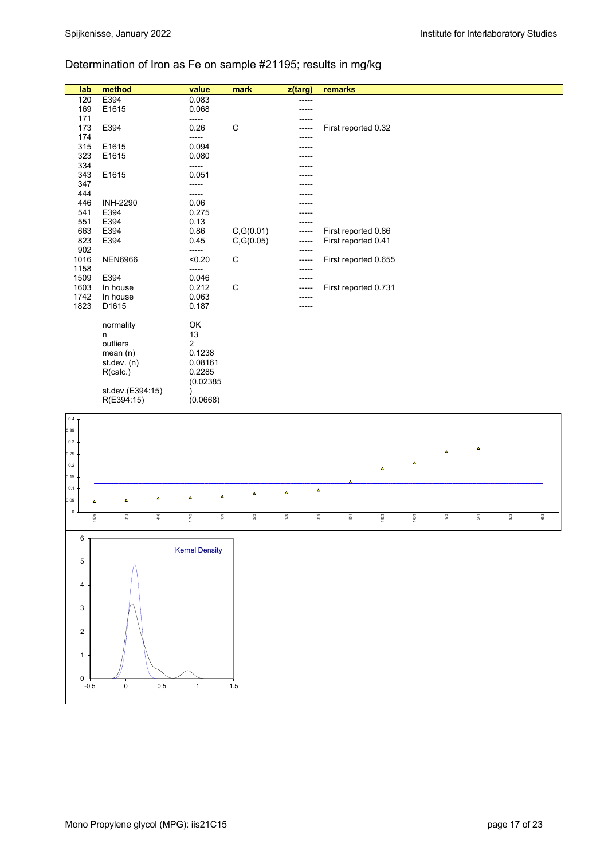# Determination of Iron as Fe on sample #21195; results in mg/kg

| lab  | method           | value          | mark        | z(targ) | remarks              |
|------|------------------|----------------|-------------|---------|----------------------|
| 120  | E394             | 0.083          |             | -----   |                      |
| 169  | E1615            | 0.068          |             |         |                      |
| 171  |                  | -----          |             |         |                      |
| 173  | E394             | 0.26           | $\mathbf C$ |         | First reported 0.32  |
| 174  |                  | -----          |             |         |                      |
| 315  | E1615            | 0.094          |             |         |                      |
| 323  | E1615            | 0.080          |             |         |                      |
| 334  |                  | -----          |             |         |                      |
| 343  | E1615            | 0.051          |             |         |                      |
| 347  |                  | -----          |             |         |                      |
| 444  |                  | -----          |             |         |                      |
| 446  | <b>INH-2290</b>  | 0.06           |             |         |                      |
| 541  | E394             | 0.275          |             |         |                      |
| 551  | E394             | 0.13           |             |         |                      |
| 663  | E394             | 0.86           | C, G(0.01)  | -----   | First reported 0.86  |
| 823  | E394             | 0.45           | C, G(0.05)  | -----   | First reported 0.41  |
| 902  |                  | -----          |             | -----   |                      |
| 1016 | <b>NEN6966</b>   | < 0.20         | C           | -----   | First reported 0.655 |
| 1158 |                  | -----          |             | -----   |                      |
| 1509 | E394             | 0.046          |             | -----   |                      |
| 1603 | In house         | 0.212          | C           |         | First reported 0.731 |
| 1742 | In house         | 0.063          |             |         |                      |
| 1823 | D1615            | 0.187          |             |         |                      |
|      | normality        | OK             |             |         |                      |
|      | n                | 13             |             |         |                      |
|      | outliers         | $\overline{2}$ |             |         |                      |
|      | mean $(n)$       | 0.1238         |             |         |                      |
|      | st.dev. (n)      | 0.08161        |             |         |                      |
|      | R(calc.)         | 0.2285         |             |         |                      |
|      |                  | (0.02385)      |             |         |                      |
|      | st.dev.(E394:15) |                |             |         |                      |
|      | R(E394:15)       | (0.0668)       |             |         |                      |
|      |                  |                |             |         |                      |

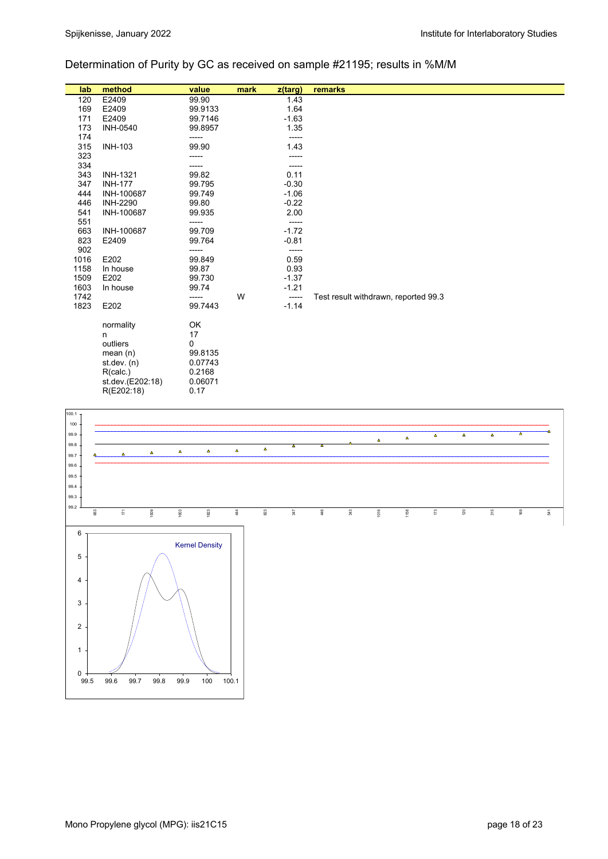# Determination of Purity by GC as received on sample #21195; results in %M/M

| lab  | method           | value   | mark | z(targ) | remarks                              |
|------|------------------|---------|------|---------|--------------------------------------|
| 120  | E2409            | 99.90   |      | 1.43    |                                      |
| 169  | E2409            | 99.9133 |      | 1.64    |                                      |
| 171  | E2409            | 99.7146 |      | $-1.63$ |                                      |
| 173  | <b>INH-0540</b>  | 99.8957 |      | 1.35    |                                      |
| 174  |                  | -----   |      | -----   |                                      |
| 315  | <b>INH-103</b>   | 99.90   |      | 1.43    |                                      |
| 323  |                  | -----   |      |         |                                      |
| 334  |                  |         |      |         |                                      |
| 343  | <b>INH-1321</b>  | 99.82   |      | 0.11    |                                      |
| 347  | <b>INH-177</b>   | 99.795  |      | $-0.30$ |                                      |
| 444  | INH-100687       | 99.749  |      | $-1.06$ |                                      |
| 446  | <b>INH-2290</b>  | 99.80   |      | $-0.22$ |                                      |
| 541  | INH-100687       | 99.935  |      | 2.00    |                                      |
| 551  |                  | -----   |      | -----   |                                      |
| 663  | INH-100687       | 99.709  |      | $-1.72$ |                                      |
| 823  | E2409            | 99.764  |      | $-0.81$ |                                      |
| 902  |                  | -----   |      | -----   |                                      |
| 1016 | E202             | 99.849  |      | 0.59    |                                      |
| 1158 | In house         | 99.87   |      | 0.93    |                                      |
| 1509 | E202             | 99.730  |      | $-1.37$ |                                      |
| 1603 | In house         | 99.74   |      | $-1.21$ |                                      |
| 1742 |                  | -----   | W    | -----   | Test result withdrawn, reported 99.3 |
| 1823 | E202             | 99.7443 |      | $-1.14$ |                                      |
|      | normality        | OK      |      |         |                                      |
|      | n                | 17      |      |         |                                      |
|      | outliers         | 0       |      |         |                                      |
|      | mean(n)          | 99.8135 |      |         |                                      |
|      | st. dev. (n)     | 0.07743 |      |         |                                      |
|      | R(calc.)         | 0.2168  |      |         |                                      |
|      | st.dev.(E202:18) | 0.06071 |      |         |                                      |
|      | R(E202:18)       | 0.17    |      |         |                                      |
|      |                  |         |      |         |                                      |

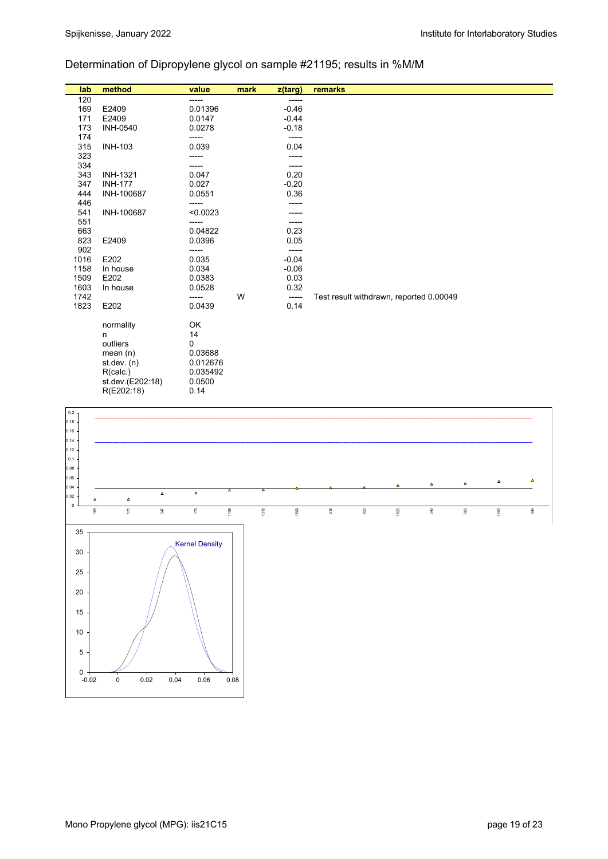# Determination of Dipropylene glycol on sample #21195; results in %M/M

| lab  | method           | value    | mark | z(targ) | remarks                                 |
|------|------------------|----------|------|---------|-----------------------------------------|
| 120  |                  | -----    |      | -----   |                                         |
| 169  | E2409            | 0.01396  |      | $-0.46$ |                                         |
| 171  | E2409            | 0.0147   |      | $-0.44$ |                                         |
| 173  | <b>INH-0540</b>  | 0.0278   |      | $-0.18$ |                                         |
| 174  |                  | -----    |      | -----   |                                         |
| 315  | <b>INH-103</b>   | 0.039    |      | 0.04    |                                         |
| 323  |                  |          |      |         |                                         |
| 334  |                  | -----    |      | -----   |                                         |
| 343  | <b>INH-1321</b>  | 0.047    |      | 0.20    |                                         |
| 347  | <b>INH-177</b>   | 0.027    |      | $-0.20$ |                                         |
| 444  | INH-100687       | 0.0551   |      | 0.36    |                                         |
| 446  |                  | -----    |      |         |                                         |
| 541  | INH-100687       | < 0.0023 |      |         |                                         |
| 551  |                  | -----    |      | -----   |                                         |
| 663  |                  | 0.04822  |      | 0.23    |                                         |
| 823  | E2409            | 0.0396   |      | 0.05    |                                         |
| 902  |                  | -----    |      | -----   |                                         |
| 1016 | E202             | 0.035    |      | $-0.04$ |                                         |
| 1158 | In house         | 0.034    |      | $-0.06$ |                                         |
| 1509 | E202             | 0.0383   |      | 0.03    |                                         |
| 1603 | In house         | 0.0528   |      | 0.32    |                                         |
| 1742 |                  | -----    | W    | $-----$ | Test result withdrawn, reported 0.00049 |
| 1823 | E202             | 0.0439   |      | 0.14    |                                         |
|      |                  |          |      |         |                                         |
|      | normality        | OK       |      |         |                                         |
|      | n                | 14       |      |         |                                         |
|      | outliers         | 0        |      |         |                                         |
|      | mean $(n)$       | 0.03688  |      |         |                                         |
|      | st.dev. $(n)$    | 0.012676 |      |         |                                         |
|      | R(calc.)         | 0.035492 |      |         |                                         |
|      | st.dev.(E202:18) | 0.0500   |      |         |                                         |
|      | R(E202:18)       | 0.14     |      |         |                                         |

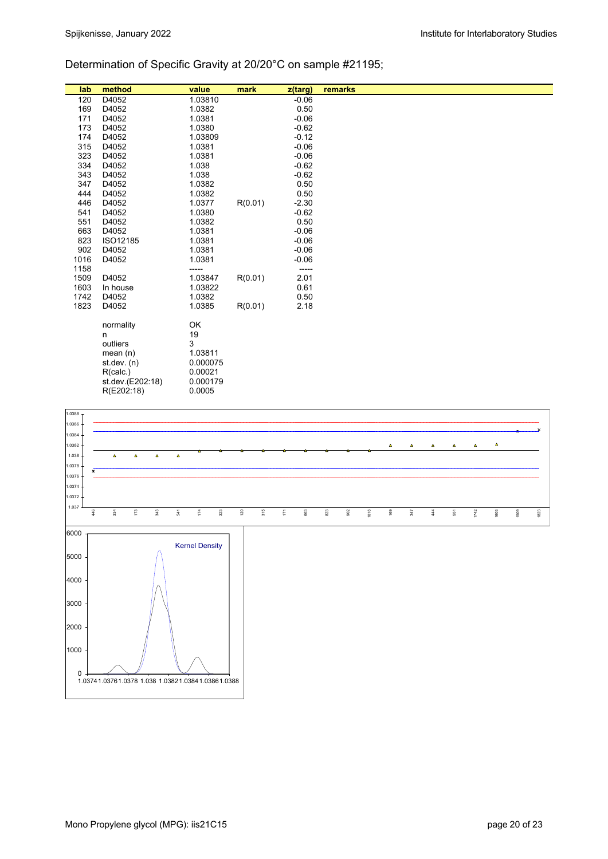# Determination of Specific Gravity at 20/20°C on sample #21195;

| lab  | method                         | value               | mark    | z(targ) | remarks |  |
|------|--------------------------------|---------------------|---------|---------|---------|--|
| 120  | D4052                          | 1.03810             |         | $-0.06$ |         |  |
| 169  | D4052                          | 1.0382              |         | 0.50    |         |  |
| 171  | D4052                          | 1.0381              |         | $-0.06$ |         |  |
| 173  | D4052                          | 1.0380              |         | $-0.62$ |         |  |
| 174  | D4052                          | 1.03809             |         | $-0.12$ |         |  |
| 315  | D4052                          | 1.0381              |         | $-0.06$ |         |  |
| 323  | D4052                          | 1.0381              |         | $-0.06$ |         |  |
| 334  | D4052                          | 1.038               |         | $-0.62$ |         |  |
| 343  | D4052                          | 1.038               |         | $-0.62$ |         |  |
| 347  | D4052                          | 1.0382              |         | 0.50    |         |  |
| 444  | D4052                          | 1.0382              |         | 0.50    |         |  |
| 446  | D4052                          | 1.0377              | R(0.01) | $-2.30$ |         |  |
| 541  | D4052                          | 1.0380              |         | $-0.62$ |         |  |
| 551  | D4052                          | 1.0382              |         | 0.50    |         |  |
| 663  | D4052                          | 1.0381              |         | $-0.06$ |         |  |
| 823  | ISO12185                       | 1.0381              |         | $-0.06$ |         |  |
| 902  | D4052                          | 1.0381              |         | $-0.06$ |         |  |
| 1016 | D4052                          | 1.0381              |         | $-0.06$ |         |  |
| 1158 |                                | -----               |         | -----   |         |  |
| 1509 | D4052                          | 1.03847             | R(0.01) | 2.01    |         |  |
| 1603 | In house                       | 1.03822             |         | 0.61    |         |  |
| 1742 | D4052                          | 1.0382              |         | 0.50    |         |  |
| 1823 | D4052                          | 1.0385              | R(0.01) | 2.18    |         |  |
|      |                                |                     |         |         |         |  |
|      | normality                      | OK                  |         |         |         |  |
|      | n.                             | 19                  |         |         |         |  |
|      | outliers                       | 3                   |         |         |         |  |
|      | mean $(n)$                     | 1.03811             |         |         |         |  |
|      | st.dev. (n)                    | 0.000075<br>0.00021 |         |         |         |  |
|      | R(calc.)                       | 0.000179            |         |         |         |  |
|      | st.dev.(E202:18)<br>R(E202:18) | 0.0005              |         |         |         |  |
|      |                                |                     |         |         |         |  |

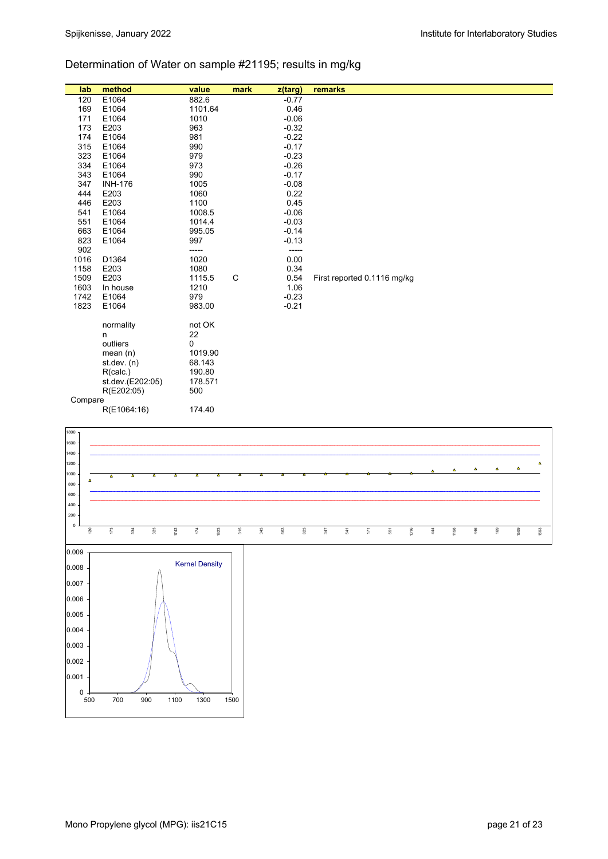# Determination of Water on sample #21195; results in mg/kg

| lab     | method           | value   | mark | z(targ) | remarks                     |
|---------|------------------|---------|------|---------|-----------------------------|
| 120     | E1064            | 882.6   |      | $-0.77$ |                             |
| 169     | E1064            | 1101.64 |      | 0.46    |                             |
| 171     | E1064            | 1010    |      | $-0.06$ |                             |
| 173     | E203             | 963     |      | $-0.32$ |                             |
| 174     | E1064            | 981     |      | $-0.22$ |                             |
| 315     | E1064            | 990     |      | $-0.17$ |                             |
| 323     | E1064            | 979     |      | $-0.23$ |                             |
| 334     | E1064            | 973     |      | $-0.26$ |                             |
| 343     | E1064            | 990     |      | $-0.17$ |                             |
| 347     | <b>INH-176</b>   | 1005    |      | $-0.08$ |                             |
| 444     | E203             | 1060    |      | 0.22    |                             |
| 446     | E203             | 1100    |      | 0.45    |                             |
| 541     | E1064            | 1008.5  |      | $-0.06$ |                             |
| 551     | E1064            | 1014.4  |      | $-0.03$ |                             |
| 663     | E1064            | 995.05  |      | $-0.14$ |                             |
| 823     | E1064            | 997     |      | $-0.13$ |                             |
| 902     |                  | -----   |      | -----   |                             |
| 1016    | D1364            | 1020    |      | 0.00    |                             |
| 1158    | E203             | 1080    |      | 0.34    |                             |
| 1509    | E203             | 1115.5  | C    | 0.54    | First reported 0.1116 mg/kg |
| 1603    | In house         | 1210    |      | 1.06    |                             |
| 1742    | E1064            | 979     |      | $-0.23$ |                             |
| 1823    | E1064            | 983.00  |      | $-0.21$ |                             |
|         | normality        | not OK  |      |         |                             |
|         | n                | 22      |      |         |                             |
|         | outliers         | 0       |      |         |                             |
|         | mean(n)          | 1019.90 |      |         |                             |
|         | st. dev. (n)     | 68.143  |      |         |                             |
|         | R(calc.)         | 190.80  |      |         |                             |
|         | st.dev.(E202:05) | 178.571 |      |         |                             |
|         | R(E202:05)       | 500     |      |         |                             |
| Compare |                  |         |      |         |                             |
|         | R(E1064:16)      | 174.40  |      |         |                             |

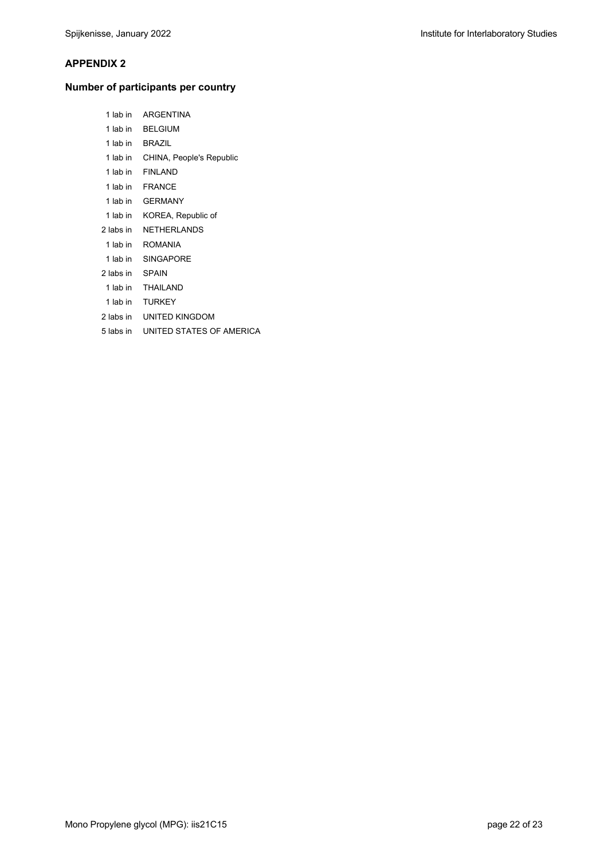### **APPENDIX 2**

# **Number of participants per country**

| 1 lab in  | ARGENTINA                |
|-----------|--------------------------|
| 1 lab in  | <b>BELGIUM</b>           |
| 1 lab in  | <b>BRAZIL</b>            |
| 1 lab in  | CHINA, People's Republic |
| 1 lab in  | <b>FINI AND</b>          |
| 1 lab in  | <b>FRANCE</b>            |
| 1 lab in  | <b>GFRMANY</b>           |
| 1 lab in  | KOREA, Republic of       |
| 2 labs in | NETHERLANDS              |
| 1 lab in  | <b>ROMANIA</b>           |
| 1 lab in  | <b>SINGAPORE</b>         |
| 2 labs in | <b>SPAIN</b>             |
| 1 lab in  | THAII AND                |
| 1 lab in  | <b>TURKEY</b>            |
| 2 labs in | UNITED KINGDOM           |
| 5 labs in | UNITED STATES OF AMERICA |
|           |                          |